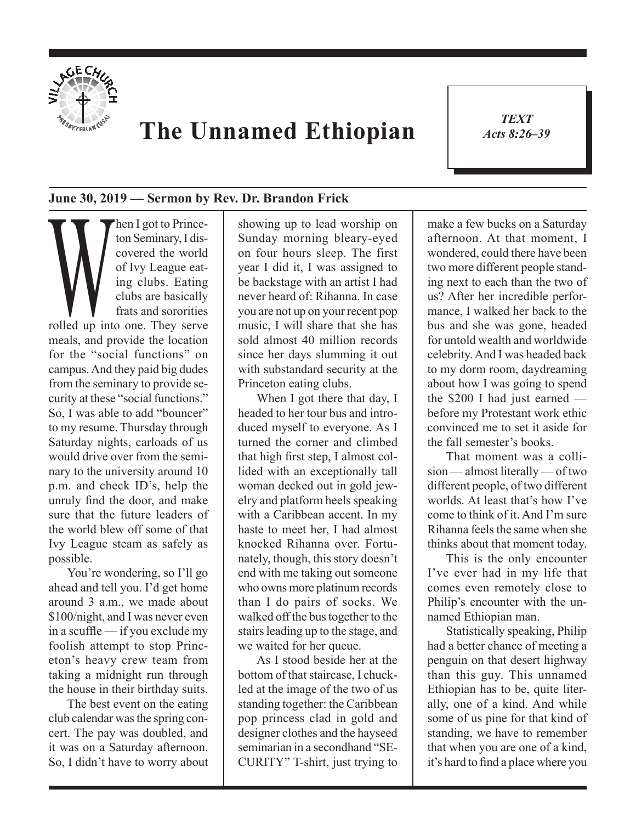

## **The Unnamed Ethiopian**

*TEXT Acts 8:26–39* 1

## **June 30, 2019 — Sermon by Rev. Dr. Brandon Frick**

Then I got to Prince-<br>ton Seminary, I dis-<br>covered the world<br>of Ivy League eat-<br>ing clubs. Eating<br>clubs are basically<br>frats and sororities<br>rolled up into one. They serve ton Seminary, I discovered the world of Ivy League eating clubs. Eating clubs are basically frats and sororities meals, and provide the location for the "social functions" on campus. And they paid big dudes from the seminary to provide security at these "social functions." So, I was able to add "bouncer" to my resume. Thursday through Saturday nights, carloads of us would drive over from the seminary to the university around 10 p.m. and check ID's, help the unruly find the door, and make sure that the future leaders of the world blew off some of that Ivy League steam as safely as possible.

You're wondering, so I'll go ahead and tell you. I'd get home around 3 a.m., we made about \$100/night, and I was never even in a scuffle — if you exclude my foolish attempt to stop Princeton's heavy crew team from taking a midnight run through the house in their birthday suits.

The best event on the eating club calendar was the spring concert. The pay was doubled, and it was on a Saturday afternoon. So, I didn't have to worry about showing up to lead worship on Sunday morning bleary-eyed on four hours sleep. The first year I did it, I was assigned to be backstage with an artist I had never heard of: Rihanna. In case you are not up on your recent pop music, I will share that she has sold almost 40 million records since her days slumming it out with substandard security at the Princeton eating clubs.

When I got there that day, I headed to her tour bus and introduced myself to everyone. As I turned the corner and climbed that high first step, I almost collided with an exceptionally tall woman decked out in gold jewelry and platform heels speaking with a Caribbean accent. In my haste to meet her, I had almost knocked Rihanna over. Fortunately, though, this story doesn't end with me taking out someone who owns more platinum records than I do pairs of socks. We walked off the bus together to the stairs leading up to the stage, and we waited for her queue.

As I stood beside her at the bottom of that staircase, I chuckled at the image of the two of us standing together: the Caribbean pop princess clad in gold and designer clothes and the hayseed seminarian in a secondhand "SE-CURITY" T-shirt, just trying to make a few bucks on a Saturday afternoon. At that moment, I wondered, could there have been two more different people standing next to each than the two of us? After her incredible performance, I walked her back to the bus and she was gone, headed for untold wealth and worldwide celebrity. And I was headed back to my dorm room, daydreaming about how I was going to spend the \$200 I had just earned before my Protestant work ethic convinced me to set it aside for the fall semester's books.

That moment was a collision — almost literally — of two different people, of two different worlds. At least that's how I've come to think of it. And I'm sure Rihanna feels the same when she thinks about that moment today.

This is the only encounter I've ever had in my life that comes even remotely close to Philip's encounter with the unnamed Ethiopian man.

Statistically speaking, Philip had a better chance of meeting a penguin on that desert highway than this guy. This unnamed Ethiopian has to be, quite literally, one of a kind. And while some of us pine for that kind of standing, we have to remember that when you are one of a kind, it's hard to find a place where you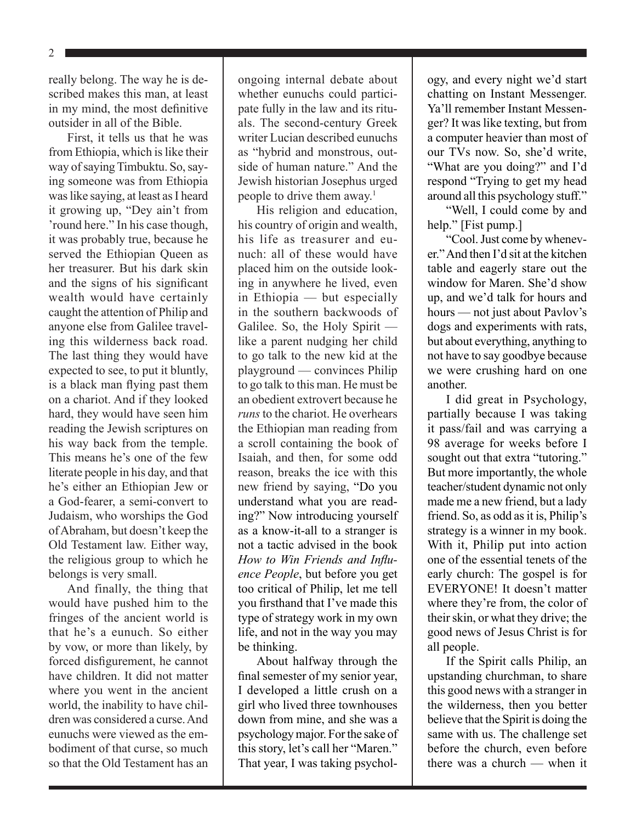2

really belong. The way he is described makes this man, at least in my mind, the most definitive outsider in all of the Bible.

First, it tells us that he was from Ethiopia, which is like their way of saying Timbuktu. So, saying someone was from Ethiopia was like saying, at least as I heard it growing up, "Dey ain't from 'round here." In his case though, it was probably true, because he served the Ethiopian Queen as her treasurer. But his dark skin and the signs of his significant wealth would have certainly caught the attention of Philip and anyone else from Galilee traveling this wilderness back road. The last thing they would have expected to see, to put it bluntly, is a black man flying past them on a chariot. And if they looked hard, they would have seen him reading the Jewish scriptures on his way back from the temple. This means he's one of the few literate people in his day, and that he's either an Ethiopian Jew or a God-fearer, a semi-convert to Judaism, who worships the God of Abraham, but doesn't keep the Old Testament law. Either way, the religious group to which he belongs is very small.

And finally, the thing that would have pushed him to the fringes of the ancient world is that he's a eunuch. So either by vow, or more than likely, by forced disfigurement, he cannot have children. It did not matter where you went in the ancient world, the inability to have children was considered a curse. And eunuchs were viewed as the embodiment of that curse, so much so that the Old Testament has an ongoing internal debate about whether eunuchs could participate fully in the law and its rituals. The second-century Greek writer Lucian described eunuchs as "hybrid and monstrous, outside of human nature." And the Jewish historian Josephus urged people to drive them away.<sup>1</sup>

His religion and education, his country of origin and wealth, his life as treasurer and eunuch: all of these would have placed him on the outside looking in anywhere he lived, even in Ethiopia — but especially in the southern backwoods of Galilee. So, the Holy Spirit like a parent nudging her child to go talk to the new kid at the playground — convinces Philip to go talk to this man. He must be an obedient extrovert because he *runs* to the chariot. He overhears the Ethiopian man reading from a scroll containing the book of Isaiah, and then, for some odd reason, breaks the ice with this new friend by saying, "Do you understand what you are reading?" Now introducing yourself as a know-it-all to a stranger is not a tactic advised in the book *How to Win Friends and Influence People*, but before you get too critical of Philip, let me tell you firsthand that I've made this type of strategy work in my own life, and not in the way you may be thinking.

About halfway through the final semester of my senior year, I developed a little crush on a girl who lived three townhouses down from mine, and she was a psychology major. For the sake of this story, let's call her "Maren." That year, I was taking psychology, and every night we'd start chatting on Instant Messenger. Ya'll remember Instant Messenger? It was like texting, but from a computer heavier than most of our TVs now. So, she'd write, "What are you doing?" and I'd respond "Trying to get my head around all this psychology stuff."

"Well, I could come by and help." [Fist pump.]

"Cool. Just come by whenever." And then I'd sit at the kitchen table and eagerly stare out the window for Maren. She'd show up, and we'd talk for hours and hours — not just about Pavlov's dogs and experiments with rats, but about everything, anything to not have to say goodbye because we were crushing hard on one another.

I did great in Psychology, partially because I was taking it pass/fail and was carrying a 98 average for weeks before I sought out that extra "tutoring." But more importantly, the whole teacher/student dynamic not only made me a new friend, but a lady friend. So, as odd as it is, Philip's strategy is a winner in my book. With it, Philip put into action one of the essential tenets of the early church: The gospel is for EVERYONE! It doesn't matter where they're from, the color of their skin, or what they drive; the good news of Jesus Christ is for all people.

If the Spirit calls Philip, an upstanding churchman, to share this good news with a stranger in the wilderness, then you better believe that the Spirit is doing the same with us. The challenge set before the church, even before there was a church — when it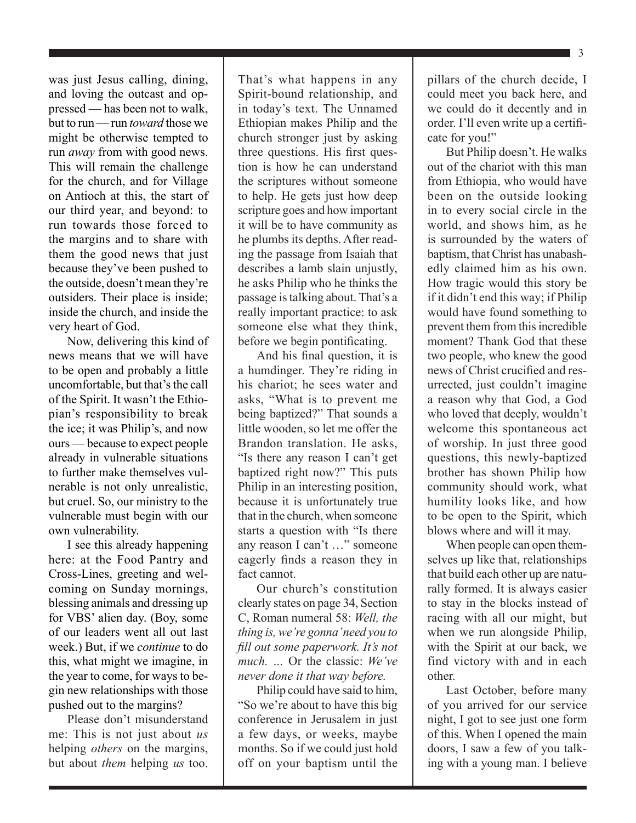was just Jesus calling, dining, and loving the outcast and oppressed — has been not to walk, but to run — run *toward* those we might be otherwise tempted to run *away* from with good news. This will remain the challenge for the church, and for Village on Antioch at this, the start of our third year, and beyond: to run towards those forced to the margins and to share with them the good news that just because they've been pushed to the outside, doesn't mean they're outsiders. Their place is inside; inside the church, and inside the very heart of God.

Now, delivering this kind of news means that we will have to be open and probably a little uncomfortable, but that's the call of the Spirit. It wasn't the Ethiopian's responsibility to break the ice; it was Philip's, and now ours — because to expect people already in vulnerable situations to further make themselves vulnerable is not only unrealistic, but cruel. So, our ministry to the vulnerable must begin with our own vulnerability.

I see this already happening here: at the Food Pantry and Cross-Lines, greeting and welcoming on Sunday mornings, blessing animals and dressing up for VBS' alien day. (Boy, some of our leaders went all out last week.) But, if we *continue* to do this, what might we imagine, in the year to come, for ways to begin new relationships with those pushed out to the margins?

Please don't misunderstand me: This is not just about *us* helping *others* on the margins, but about *them* helping *us* too. That's what happens in any Spirit-bound relationship, and in today's text. The Unnamed Ethiopian makes Philip and the church stronger just by asking three questions. His first question is how he can understand the scriptures without someone to help. He gets just how deep scripture goes and how important it will be to have community as he plumbs its depths. After reading the passage from Isaiah that describes a lamb slain unjustly, he asks Philip who he thinks the passage is talking about. That's a really important practice: to ask someone else what they think, before we begin pontificating.

And his final question, it is a humdinger. They're riding in his chariot; he sees water and asks, "What is to prevent me being baptized?" That sounds a little wooden, so let me offer the Brandon translation. He asks, "Is there any reason I can't get baptized right now?" This puts Philip in an interesting position, because it is unfortunately true that in the church, when someone starts a question with "Is there any reason I can't …" someone eagerly finds a reason they in fact cannot.

Our church's constitution clearly states on page 34, Section C, Roman numeral 58: *Well, the thing is, we're gonna' need you to fill out some paperwork. It's not much. …* Or the classic: *We've never done it that way before.*

Philip could have said to him, "So we're about to have this big conference in Jerusalem in just a few days, or weeks, maybe months. So if we could just hold off on your baptism until the pillars of the church decide, I could meet you back here, and we could do it decently and in order. I'll even write up a certificate for you!"

But Philip doesn't. He walks out of the chariot with this man from Ethiopia, who would have been on the outside looking in to every social circle in the world, and shows him, as he is surrounded by the waters of baptism, that Christ has unabashedly claimed him as his own. How tragic would this story be if it didn't end this way; if Philip would have found something to prevent them from this incredible moment? Thank God that these two people, who knew the good news of Christ crucified and resurrected, just couldn't imagine a reason why that God, a God who loved that deeply, wouldn't welcome this spontaneous act of worship. In just three good questions, this newly-baptized brother has shown Philip how community should work, what humility looks like, and how to be open to the Spirit, which blows where and will it may.

When people can open themselves up like that, relationships that build each other up are naturally formed. It is always easier to stay in the blocks instead of racing with all our might, but when we run alongside Philip, with the Spirit at our back, we find victory with and in each other.

Last October, before many of you arrived for our service night, I got to see just one form of this. When I opened the main doors, I saw a few of you talking with a young man. I believe